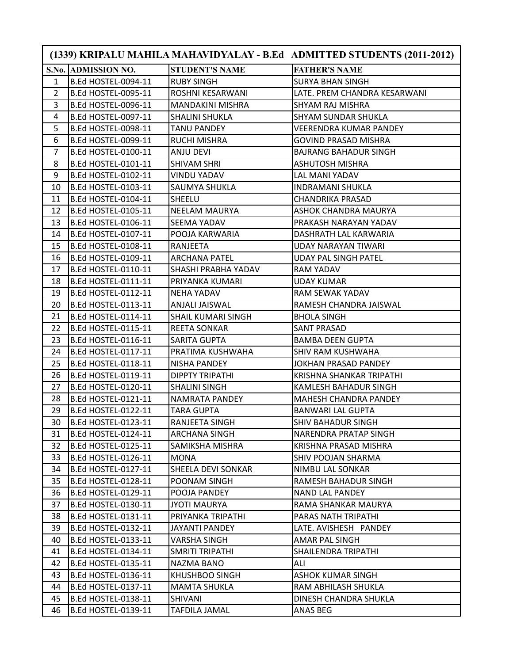|                |                            |                           | (1339) KRIPALU MAHILA MAHAVIDYALAY - B.Ed ADMITTED STUDENTS (2011-2012) |
|----------------|----------------------------|---------------------------|-------------------------------------------------------------------------|
|                | S.No. ADMISSION NO.        | <b>STUDENT'S NAME</b>     | <b>FATHER'S NAME</b>                                                    |
| $\mathbf{1}$   | B.Ed HOSTEL-0094-11        | <b>RUBY SINGH</b>         | <b>SURYA BHAN SINGH</b>                                                 |
| 2              | <b>B.Ed HOSTEL-0095-11</b> | <b>ROSHNI KESARWANI</b>   | LATE. PREM CHANDRA KESARWANI                                            |
| 3              | <b>B.Ed HOSTEL-0096-11</b> | <b>MANDAKINI MISHRA</b>   | SHYAM RAJ MISHRA                                                        |
| 4              | <b>B.Ed HOSTEL-0097-11</b> | SHALINI SHUKLA            | SHYAM SUNDAR SHUKLA                                                     |
| 5              | <b>B.Ed HOSTEL-0098-11</b> | <b>TANU PANDEY</b>        | <b>VEERENDRA KUMAR PANDEY</b>                                           |
| 6              | B.Ed HOSTEL-0099-11        | <b>RUCHI MISHRA</b>       | <b>GOVIND PRASAD MISHRA</b>                                             |
| $\overline{7}$ | <b>B.Ed HOSTEL-0100-11</b> | ANJU DEVI                 | <b>BAJRANG BAHADUR SINGH</b>                                            |
| 8              | <b>B.Ed HOSTEL-0101-11</b> | <b>SHIVAM SHRI</b>        | <b>ASHUTOSH MISHRA</b>                                                  |
| 9              | B.Ed HOSTEL-0102-11        | <b>VINDU YADAV</b>        | LAL MANI YADAV                                                          |
| 10             | B.Ed HOSTEL-0103-11        | <b>SAUMYA SHUKLA</b>      | <b>INDRAMANI SHUKLA</b>                                                 |
| 11             | <b>B.Ed HOSTEL-0104-11</b> | <b>SHEELU</b>             | <b>CHANDRIKA PRASAD</b>                                                 |
| 12             | B.Ed HOSTEL-0105-11        | <b>NEELAM MAURYA</b>      | ASHOK CHANDRA MAURYA                                                    |
| 13             | B.Ed HOSTEL-0106-11        | SEEMA YADAV               | PRAKASH NARAYAN YADAV                                                   |
| 14             | B.Ed HOSTEL-0107-11        | POOJA KARWARIA            | DASHRATH LAL KARWARIA                                                   |
| 15             | B.Ed HOSTEL-0108-11        | <b>RANJEETA</b>           | <b>UDAY NARAYAN TIWARI</b>                                              |
| 16             | B.Ed HOSTEL-0109-11        | lARCHANA PATEL            | <b>UDAY PAL SINGH PATEL</b>                                             |
| 17             | B.Ed HOSTEL-0110-11        | SHASHI PRABHA YADAV       | RAM YADAV                                                               |
| 18             | B.Ed HOSTEL-0111-11        | PRIYANKA KUMARI           | <b>UDAY KUMAR</b>                                                       |
| 19             | <b>B.Ed HOSTEL-0112-11</b> | NEHA YADAV                | RAM SEWAK YADAV                                                         |
| 20             | B.Ed HOSTEL-0113-11        | ANJALI JAISWAL            | RAMESH CHANDRA JAISWAL                                                  |
| 21             | B.Ed HOSTEL-0114-11        | <b>SHAIL KUMARI SINGH</b> | <b>BHOLA SINGH</b>                                                      |
| 22             | B.Ed HOSTEL-0115-11        | <b>REETA SONKAR</b>       | <b>SANT PRASAD</b>                                                      |
| 23             | B.Ed HOSTEL-0116-11        | <b>SARITA GUPTA</b>       | <b>BAMBA DEEN GUPTA</b>                                                 |
| 24             | B.Ed HOSTEL-0117-11        | PRATIMA KUSHWAHA          | SHIV RAM KUSHWAHA                                                       |
| 25             | <b>B.Ed HOSTEL-0118-11</b> | NISHA PANDEY              | <b>JOKHAN PRASAD PANDEY</b>                                             |
| 26             | B.Ed HOSTEL-0119-11        | <b>DIPPTY TRIPATHI</b>    | KRISHNA SHANKAR TRIPATHI                                                |
| 27             | B.Ed HOSTEL-0120-11        | <b>SHALINI SINGH</b>      | KAMLESH BAHADUR SINGH                                                   |
| 28             | B.Ed HOSTEL-0121-11        | NAMRATA PANDEY            | <b>MAHESH CHANDRA PANDEY</b>                                            |
| 29             | <b>B.Ed HOSTEL-0122-11</b> | <b>TARA GUPTA</b>         | <b>BANWARI LAL GUPTA</b>                                                |
| 30             | B.Ed HOSTEL-0123-11        | RANJEETA SINGH            | SHIV BAHADUR SINGH                                                      |
| 31             | B.Ed HOSTEL-0124-11        | ARCHANA SINGH             | NARENDRA PRATAP SINGH                                                   |
| 32             | B.Ed HOSTEL-0125-11        | SAMIKSHA MISHRA           | KRISHNA PRASAD MISHRA                                                   |
| 33             | B.Ed HOSTEL-0126-11        | MONA                      | SHIV POOJAN SHARMA                                                      |
| 34             | B.Ed HOSTEL-0127-11        | <b>SHEELA DEVI SONKAR</b> | NIMBU LAL SONKAR                                                        |
| 35             | B.Ed HOSTEL-0128-11        | POONAM SINGH              | RAMESH BAHADUR SINGH                                                    |
| 36             | B.Ed HOSTEL-0129-11        | POOJA PANDEY              | <b>NAND LAL PANDEY</b>                                                  |
| 37             | B.Ed HOSTEL-0130-11        | <b>JYOTI MAURYA</b>       | RAMA SHANKAR MAURYA                                                     |
| 38             | <b>B.Ed HOSTEL-0131-11</b> | PRIYANKA TRIPATHI         | PARAS NATH TRIPATHI                                                     |
| 39             | B.Ed HOSTEL-0132-11        | <b>JAYANTI PANDEY</b>     | LATE. AVISHESH PANDEY                                                   |
| 40             | B.Ed HOSTEL-0133-11        | VARSHA SINGH              | AMAR PAL SINGH                                                          |
| 41             | B.Ed HOSTEL-0134-11        | <b>SMRITI TRIPATHI</b>    | SHAILENDRA TRIPATHI                                                     |
| 42             | B.Ed HOSTEL-0135-11        | NAZMA BANO                | ALI                                                                     |
| 43             | B.Ed HOSTEL-0136-11        | KHUSHBOO SINGH            | ASHOK KUMAR SINGH                                                       |
| 44             | B.Ed HOSTEL-0137-11        | <b>MAMTA SHUKLA</b>       | RAM ABHILASH SHUKLA                                                     |
| 45             | B.Ed HOSTEL-0138-11        | SHIVANI                   | DINESH CHANDRA SHUKLA                                                   |
| 46             | B.Ed HOSTEL-0139-11        | <b>TAFDILA JAMAL</b>      | ANAS BEG                                                                |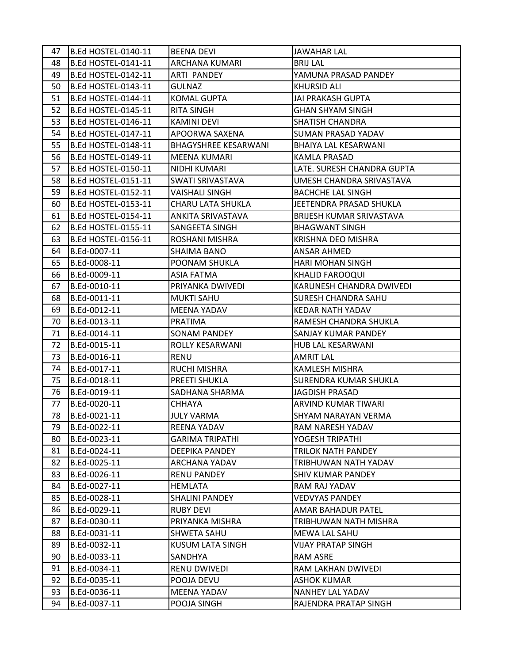| 47 | B.Ed HOSTEL-0140-11 | <b>BEENA DEVI</b>           | <b>JAWAHAR LAL</b>           |
|----|---------------------|-----------------------------|------------------------------|
| 48 | B.Ed HOSTEL-0141-11 | <b>ARCHANA KUMARI</b>       | <b>BRIJ LAL</b>              |
| 49 | B.Ed HOSTEL-0142-11 | ARTI PANDEY                 | YAMUNA PRASAD PANDEY         |
| 50 | B.Ed HOSTEL-0143-11 | <b>GULNAZ</b>               | <b>KHURSID ALI</b>           |
| 51 | B.Ed HOSTEL-0144-11 | <b>KOMAL GUPTA</b>          | <b>JAI PRAKASH GUPTA</b>     |
| 52 | B.Ed HOSTEL-0145-11 | RITA SINGH                  | <b>GHAN SHYAM SINGH</b>      |
| 53 | B.Ed HOSTEL-0146-11 | <b>KAMINI DEVI</b>          | <b>SHATISH CHANDRA</b>       |
| 54 | B.Ed HOSTEL-0147-11 | APOORWA SAXENA              | <b>SUMAN PRASAD YADAV</b>    |
| 55 | B.Ed HOSTEL-0148-11 | <b>BHAGYSHREE KESARWANI</b> | BHAIYA LAL KESARWANI         |
| 56 | B.Ed HOSTEL-0149-11 | MEENA KUMARI                | KAMLA PRASAD                 |
| 57 | B.Ed HOSTEL-0150-11 | NIDHI KUMARI                | LATE. SURESH CHANDRA GUPTA   |
| 58 | B.Ed HOSTEL-0151-11 | <b>SWATI SRIVASTAVA</b>     | UMESH CHANDRA SRIVASTAVA     |
| 59 | B.Ed HOSTEL-0152-11 | VAISHALI SINGH              | <b>BACHCHE LAL SINGH</b>     |
| 60 | B.Ed HOSTEL-0153-11 | <b>CHARU LATA SHUKLA</b>    | JEETENDRA PRASAD SHUKLA      |
| 61 | B.Ed HOSTEL-0154-11 | ANKITA SRIVASTAVA           | BRIJESH KUMAR SRIVASTAVA     |
| 62 | B.Ed HOSTEL-0155-11 | SANGEETA SINGH              | <b>BHAGWANT SINGH</b>        |
| 63 | B.Ed HOSTEL-0156-11 | <b>ROSHANI MISHRA</b>       | <b>KRISHNA DEO MISHRA</b>    |
| 64 | B.Ed-0007-11        | <b>SHAIMA BANO</b>          | <b>ANSAR AHMED</b>           |
| 65 | B.Ed-0008-11        | <b>POONAM SHUKLA</b>        | <b>HARI MOHAN SINGH</b>      |
| 66 | B.Ed-0009-11        | <b>ASIA FATMA</b>           | <b>KHALID FAROOQUI</b>       |
| 67 | B.Ed-0010-11        | PRIYANKA DWIVEDI            | KARUNESH CHANDRA DWIVEDI     |
| 68 | B.Ed-0011-11        | <b>MUKTI SAHU</b>           | <b>SURESH CHANDRA SAHU</b>   |
| 69 | B.Ed-0012-11        | <b>MEENA YADAV</b>          | <b>KEDAR NATH YADAV</b>      |
| 70 | B.Ed-0013-11        | PRATIMA                     | RAMESH CHANDRA SHUKLA        |
| 71 | B.Ed-0014-11        | <b>SONAM PANDEY</b>         | <b>SANJAY KUMAR PANDEY</b>   |
| 72 | B.Ed-0015-11        | <b>ROLLY KESARWANI</b>      | HUB LAL KESARWANI            |
| 73 | B.Ed-0016-11        | <b>RENU</b>                 | <b>AMRIT LAL</b>             |
| 74 | B.Ed-0017-11        | <b>RUCHI MISHRA</b>         | <b>KAMLESH MISHRA</b>        |
| 75 | B.Ed-0018-11        | <b>PREETI SHUKLA</b>        | <b>SURENDRA KUMAR SHUKLA</b> |
| 76 | B.Ed-0019-11        | <b>SADHANA SHARMA</b>       | <b>JAGDISH PRASAD</b>        |
| 77 | B.Ed-0020-11        | CHHAYA                      | ARVIND KUMAR TIWARI          |
| 78 | B.Ed-0021-11        | <b>JULY VARMA</b>           | SHYAM NARAYAN VERMA          |
| 79 | B.Ed-0022-11        | <b>REENA YADAV</b>          | RAM NARESH YADAV             |
| 80 | B.Ed-0023-11        | <b>GARIMA TRIPATHI</b>      | YOGESH TRIPATHI              |
| 81 | B.Ed-0024-11        | DEEPIKA PANDEY              | <b>TRILOK NATH PANDEY</b>    |
| 82 | B.Ed-0025-11        | <b>ARCHANA YADAV</b>        | TRIBHUWAN NATH YADAV         |
| 83 | B.Ed-0026-11        | <b>RENU PANDEY</b>          | <b>SHIV KUMAR PANDEY</b>     |
| 84 | B.Ed-0027-11        | HEMLATA                     | RAM RAJ YADAV                |
| 85 | B.Ed-0028-11        | <b>SHALINI PANDEY</b>       | <b>VEDVYAS PANDEY</b>        |
| 86 | B.Ed-0029-11        | <b>RUBY DEVI</b>            | AMAR BAHADUR PATEL           |
| 87 | B.Ed-0030-11        | PRIYANKA MISHRA             | TRIBHUWAN NATH MISHRA        |
| 88 | B.Ed-0031-11        | <b>SHWETA SAHU</b>          | MEWA LAL SAHU                |
| 89 | B.Ed-0032-11        | KUSUM LATA SINGH            | <b>VIJAY PRATAP SINGH</b>    |
| 90 | B.Ed-0033-11        | SANDHYA                     | <b>RAM ASRE</b>              |
| 91 | B.Ed-0034-11        | <b>RENU DWIVEDI</b>         | RAM LAKHAN DWIVEDI           |
| 92 | B.Ed-0035-11        | POOJA DEVU                  | <b>ASHOK KUMAR</b>           |
| 93 | B.Ed-0036-11        | <b>MEENA YADAV</b>          | <b>NANHEY LAL YADAV</b>      |
| 94 | B.Ed-0037-11        | POOJA SINGH                 | RAJENDRA PRATAP SINGH        |